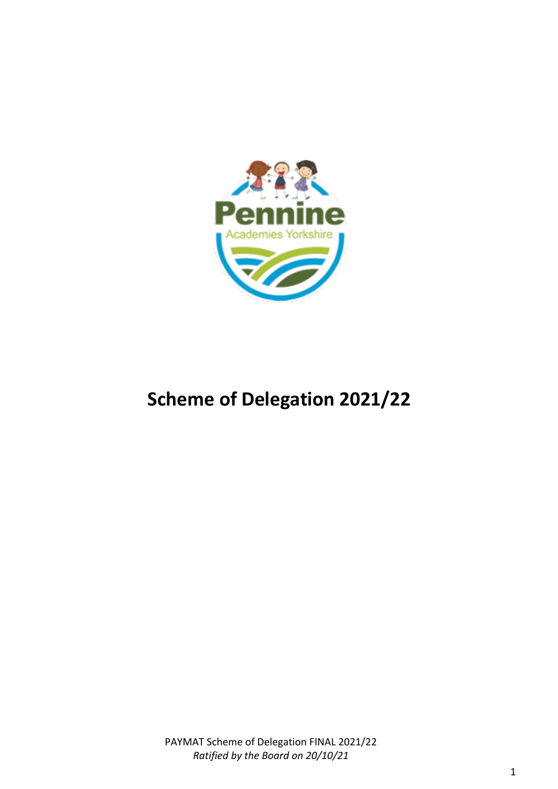

# **Scheme of Delegation 2021/22**

PAYMAT Scheme of Delegation FINAL 2021/22 *Ratified by the Board on 20/10/21*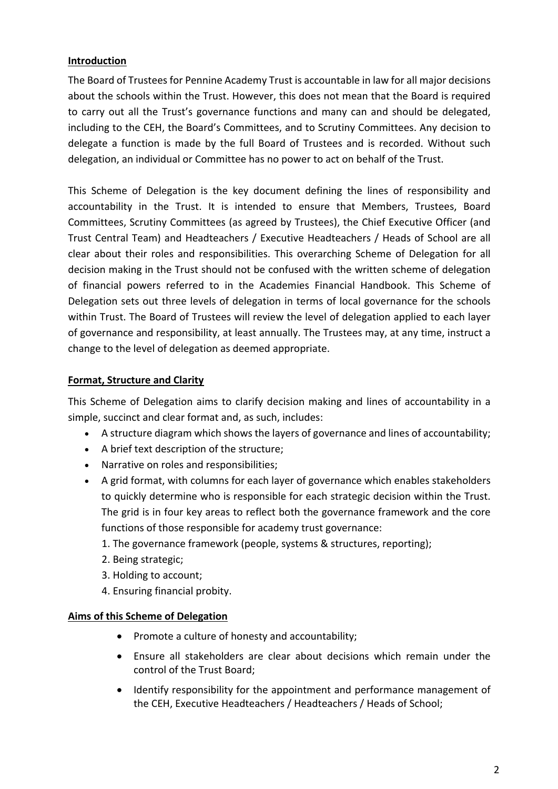#### **Introduction**

The Board of Trustees for Pennine Academy Trust is accountable in law for all major decisions about the schools within the Trust. However, this does not mean that the Board is required to carry out all the Trust's governance functions and many can and should be delegated, including to the CEH, the Board's Committees, and to Scrutiny Committees. Any decision to delegate a function is made by the full Board of Trustees and is recorded. Without such delegation, an individual or Committee has no power to act on behalf of the Trust.

This Scheme of Delegation is the key document defining the lines of responsibility and accountability in the Trust. It is intended to ensure that Members, Trustees, Board Committees, Scrutiny Committees (as agreed by Trustees), the Chief Executive Officer (and Trust Central Team) and Headteachers / Executive Headteachers / Heads of School are all clear about their roles and responsibilities. This overarching Scheme of Delegation for all decision making in the Trust should not be confused with the written scheme of delegation of financial powers referred to in the Academies Financial Handbook. This Scheme of Delegation sets out three levels of delegation in terms of local governance for the schools within Trust. The Board of Trustees will review the level of delegation applied to each layer of governance and responsibility, at least annually. The Trustees may, at any time, instruct a change to the level of delegation as deemed appropriate.

## **Format, Structure and Clarity**

This Scheme of Delegation aims to clarify decision making and lines of accountability in a simple, succinct and clear format and, as such, includes:

- A structure diagram which shows the layers of governance and lines of accountability;
- A brief text description of the structure;
- Narrative on roles and responsibilities;
- A grid format, with columns for each layer of governance which enables stakeholders to quickly determine who is responsible for each strategic decision within the Trust. The grid is in four key areas to reflect both the governance framework and the core functions of those responsible for academy trust governance:
	- 1. The governance framework (people, systems & structures, reporting);
	- 2. Being strategic;
	- 3. Holding to account;
	- 4. Ensuring financial probity.

#### **Aims of this Scheme of Delegation**

- Promote a culture of honesty and accountability;
- Ensure all stakeholders are clear about decisions which remain under the control of the Trust Board;
- Identify responsibility for the appointment and performance management of the CEH, Executive Headteachers / Headteachers / Heads of School;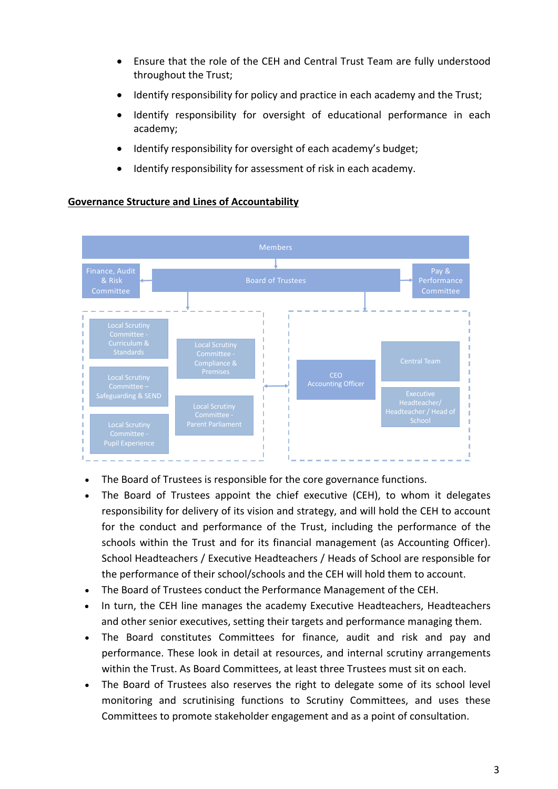- Ensure that the role of the CEH and Central Trust Team are fully understood throughout the Trust;
- Identify responsibility for policy and practice in each academy and the Trust;
- Identify responsibility for oversight of educational performance in each academy;
- Identify responsibility for oversight of each academy's budget;
- Identify responsibility for assessment of risk in each academy.

#### **Governance Structure and Lines of Accountability**



- The Board of Trustees is responsible for the core governance functions.
- The Board of Trustees appoint the chief executive (CEH), to whom it delegates responsibility for delivery of its vision and strategy, and will hold the CEH to account for the conduct and performance of the Trust, including the performance of the schools within the Trust and for its financial management (as Accounting Officer). School Headteachers / Executive Headteachers / Heads of School are responsible for the performance of their school/schools and the CEH will hold them to account.
- The Board of Trustees conduct the Performance Management of the CEH.
- In turn, the CEH line manages the academy Executive Headteachers, Headteachers and other senior executives, setting their targets and performance managing them.
- The Board constitutes Committees for finance, audit and risk and pay and performance. These look in detail at resources, and internal scrutiny arrangements within the Trust. As Board Committees, at least three Trustees must sit on each.
- The Board of Trustees also reserves the right to delegate some of its school level monitoring and scrutinising functions to Scrutiny Committees, and uses these Committees to promote stakeholder engagement and as a point of consultation.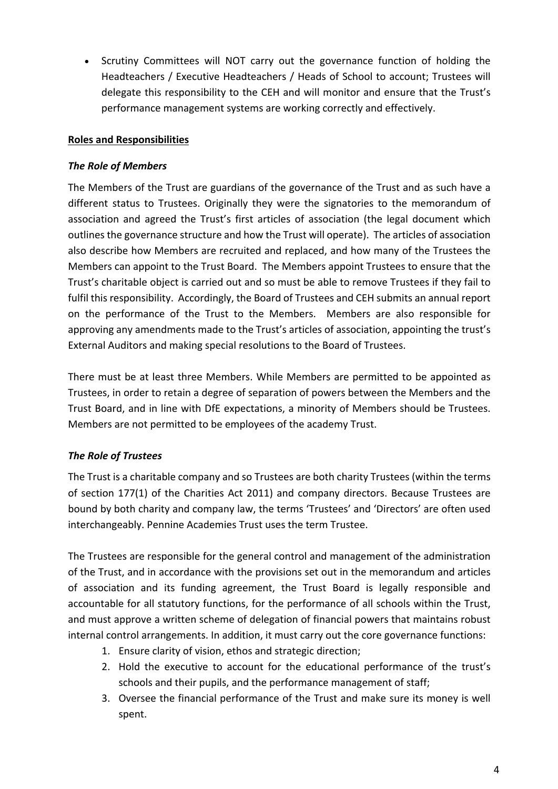• Scrutiny Committees will NOT carry out the governance function of holding the Headteachers / Executive Headteachers / Heads of School to account; Trustees will delegate this responsibility to the CEH and will monitor and ensure that the Trust's performance management systems are working correctly and effectively.

#### **Roles and Responsibilities**

#### *The Role of Members*

The Members of the Trust are guardians of the governance of the Trust and as such have a different status to Trustees. Originally they were the signatories to the memorandum of association and agreed the Trust's first articles of association (the legal document which outlines the governance structure and how the Trust will operate). The articles of association also describe how Members are recruited and replaced, and how many of the Trustees the Members can appoint to the Trust Board. The Members appoint Trustees to ensure that the Trust's charitable object is carried out and so must be able to remove Trustees if they fail to fulfil this responsibility. Accordingly, the Board of Trustees and CEH submits an annual report on the performance of the Trust to the Members. Members are also responsible for approving any amendments made to the Trust's articles of association, appointing the trust's External Auditors and making special resolutions to the Board of Trustees.

There must be at least three Members. While Members are permitted to be appointed as Trustees, in order to retain a degree of separation of powers between the Members and the Trust Board, and in line with DfE expectations, a minority of Members should be Trustees. Members are not permitted to be employees of the academy Trust.

## *The Role of Trustees*

The Trust is a charitable company and so Trustees are both charity Trustees (within the terms of section 177(1) of the Charities Act 2011) and company directors. Because Trustees are bound by both charity and company law, the terms 'Trustees' and 'Directors' are often used interchangeably. Pennine Academies Trust uses the term Trustee.

The Trustees are responsible for the general control and management of the administration of the Trust, and in accordance with the provisions set out in the memorandum and articles of association and its funding agreement, the Trust Board is legally responsible and accountable for all statutory functions, for the performance of all schools within the Trust, and must approve a written scheme of delegation of financial powers that maintains robust internal control arrangements. In addition, it must carry out the core governance functions:

- 1. Ensure clarity of vision, ethos and strategic direction;
- 2. Hold the executive to account for the educational performance of the trust's schools and their pupils, and the performance management of staff;
- 3. Oversee the financial performance of the Trust and make sure its money is well spent.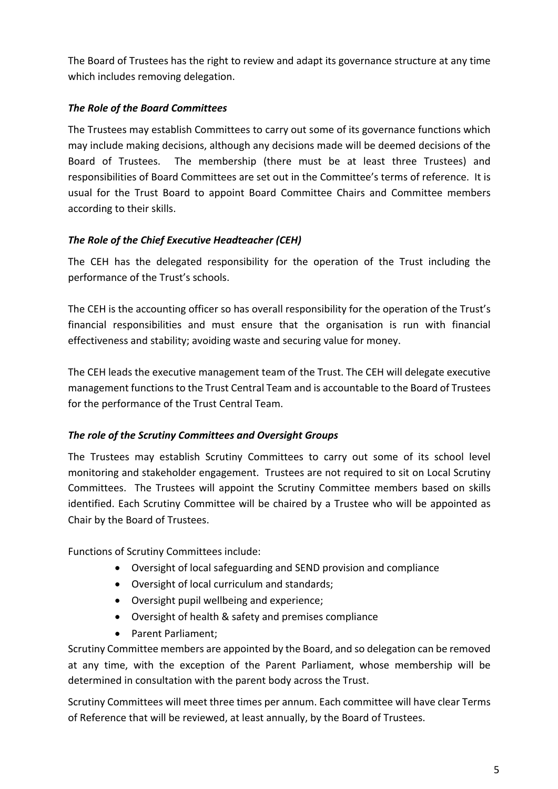The Board of Trustees has the right to review and adapt its governance structure at any time which includes removing delegation.

# *The Role of the Board Committees*

The Trustees may establish Committees to carry out some of its governance functions which may include making decisions, although any decisions made will be deemed decisions of the Board of Trustees. The membership (there must be at least three Trustees) and responsibilities of Board Committees are set out in the Committee's terms of reference. It is usual for the Trust Board to appoint Board Committee Chairs and Committee members according to their skills.

# *The Role of the Chief Executive Headteacher (CEH)*

The CEH has the delegated responsibility for the operation of the Trust including the performance of the Trust's schools.

The CEH is the accounting officer so has overall responsibility for the operation of the Trust's financial responsibilities and must ensure that the organisation is run with financial effectiveness and stability; avoiding waste and securing value for money.

The CEH leads the executive management team of the Trust. The CEH will delegate executive management functions to the Trust Central Team and is accountable to the Board of Trustees for the performance of the Trust Central Team.

## *The role of the Scrutiny Committees and Oversight Groups*

The Trustees may establish Scrutiny Committees to carry out some of its school level monitoring and stakeholder engagement. Trustees are not required to sit on Local Scrutiny Committees. The Trustees will appoint the Scrutiny Committee members based on skills identified. Each Scrutiny Committee will be chaired by a Trustee who will be appointed as Chair by the Board of Trustees.

Functions of Scrutiny Committees include:

- Oversight of local safeguarding and SEND provision and compliance
- Oversight of local curriculum and standards;
- Oversight pupil wellbeing and experience;
- Oversight of health & safety and premises compliance
- Parent Parliament;

Scrutiny Committee members are appointed by the Board, and so delegation can be removed at any time, with the exception of the Parent Parliament, whose membership will be determined in consultation with the parent body across the Trust.

Scrutiny Committees will meet three times per annum. Each committee will have clear Terms of Reference that will be reviewed, at least annually, by the Board of Trustees.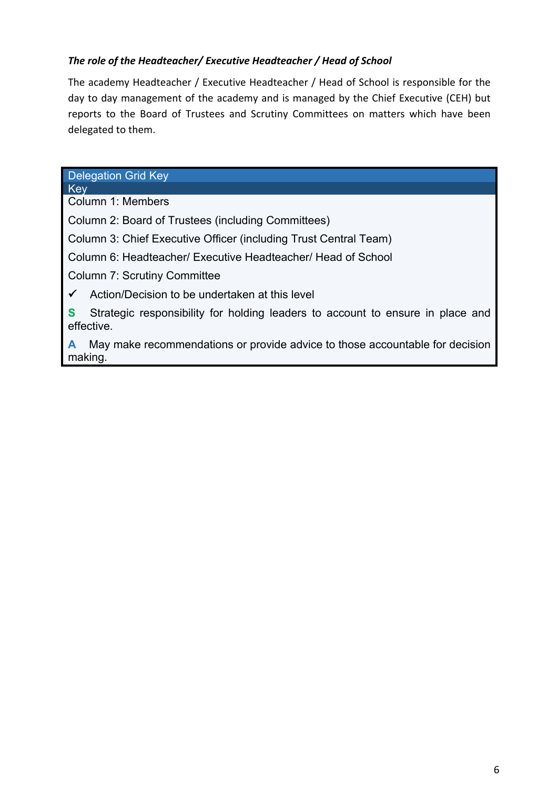## *The role of the Headteacher/ Executive Headteacher / Head of School*

The academy Headteacher / Executive Headteacher / Head of School is responsible for the day to day management of the academy and is managed by the Chief Executive (CEH) but reports to the Board of Trustees and Scrutiny Committees on matters which have been delegated to them.

#### Delegation Grid Key

**Key** Column 1: Members

Column 2: Board of Trustees (including Committees)

Column 3: Chief Executive Officer (including Trust Central Team)

Column 6: Headteacher/ Executive Headteacher/ Head of School

Column 7: Scrutiny Committee

 $\checkmark$  Action/Decision to be undertaken at this level

**S** Strategic responsibility for holding leaders to account to ensure in place and effective.

**A** May make recommendations or provide advice to those accountable for decision making.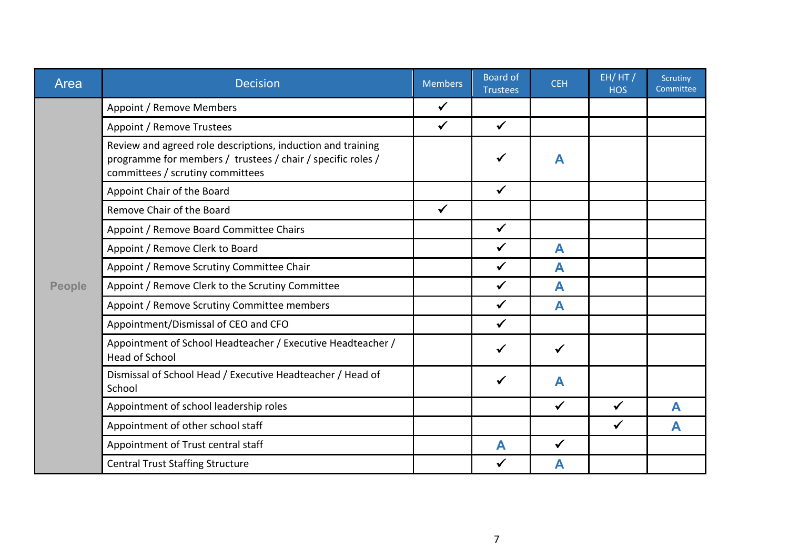| Area          | <b>Decision</b>                                                                                                                                                | <b>Members</b> | <b>Board of</b><br><b>Trustees</b> | <b>CEH</b>   | EH/HT/<br><b>HOS</b> | Scrutiny<br>Committee |
|---------------|----------------------------------------------------------------------------------------------------------------------------------------------------------------|----------------|------------------------------------|--------------|----------------------|-----------------------|
|               | Appoint / Remove Members                                                                                                                                       | $\checkmark$   |                                    |              |                      |                       |
|               | Appoint / Remove Trustees                                                                                                                                      | $\checkmark$   | $\checkmark$                       |              |                      |                       |
|               | Review and agreed role descriptions, induction and training<br>programme for members / trustees / chair / specific roles /<br>committees / scrutiny committees |                | $\checkmark$                       | A            |                      |                       |
|               | Appoint Chair of the Board                                                                                                                                     |                | $\checkmark$                       |              |                      |                       |
|               | Remove Chair of the Board                                                                                                                                      | $\checkmark$   |                                    |              |                      |                       |
|               | Appoint / Remove Board Committee Chairs                                                                                                                        |                | $\checkmark$                       |              |                      |                       |
|               | Appoint / Remove Clerk to Board                                                                                                                                |                | $\checkmark$                       | A            |                      |                       |
|               | Appoint / Remove Scrutiny Committee Chair                                                                                                                      |                | $\checkmark$                       | A            |                      |                       |
| <b>People</b> | Appoint / Remove Clerk to the Scrutiny Committee                                                                                                               |                | $\checkmark$                       | A            |                      |                       |
|               | Appoint / Remove Scrutiny Committee members                                                                                                                    |                | $\checkmark$                       | A            |                      |                       |
|               | Appointment/Dismissal of CEO and CFO                                                                                                                           |                | $\checkmark$                       |              |                      |                       |
|               | Appointment of School Headteacher / Executive Headteacher /<br><b>Head of School</b>                                                                           |                | $\checkmark$                       | $\checkmark$ |                      |                       |
|               | Dismissal of School Head / Executive Headteacher / Head of<br>School                                                                                           |                | $\checkmark$                       | A            |                      |                       |
|               | Appointment of school leadership roles                                                                                                                         |                |                                    | $\checkmark$ | ✓                    | А                     |
|               | Appointment of other school staff                                                                                                                              |                |                                    |              | $\checkmark$         | A                     |
|               | Appointment of Trust central staff                                                                                                                             |                | A                                  | ✓            |                      |                       |
|               | <b>Central Trust Staffing Structure</b>                                                                                                                        |                | ✔                                  | Α            |                      |                       |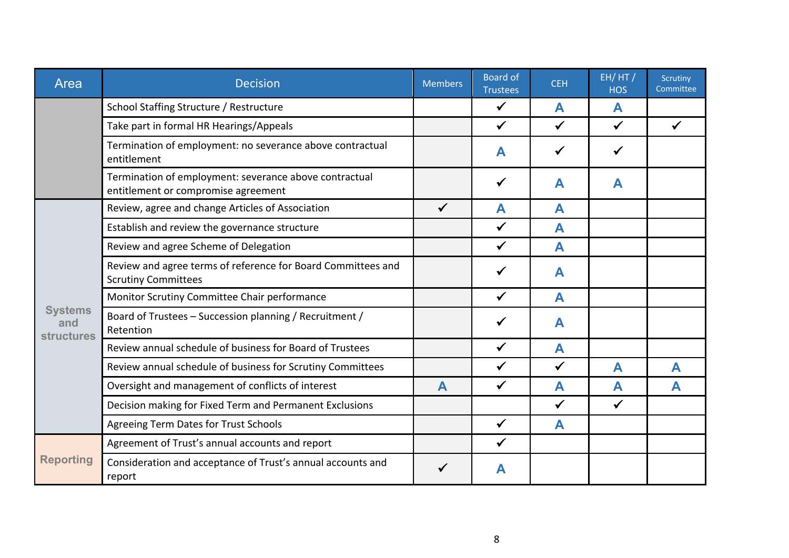| Area                                       | <b>Decision</b>                                                                               | <b>Members</b> | <b>Board of</b><br><b>Trustees</b> | <b>CEH</b>   | EH/HT/<br><b>HOS</b> | Scrutiny<br>Committee |
|--------------------------------------------|-----------------------------------------------------------------------------------------------|----------------|------------------------------------|--------------|----------------------|-----------------------|
|                                            | School Staffing Structure / Restructure                                                       |                | $\checkmark$                       | A            | A                    |                       |
|                                            | Take part in formal HR Hearings/Appeals                                                       |                | $\checkmark$                       | $\checkmark$ | $\checkmark$         | ✔                     |
|                                            | Termination of employment: no severance above contractual<br>entitlement                      |                | A                                  | ✓            | ✓                    |                       |
|                                            | Termination of employment: severance above contractual<br>entitlement or compromise agreement |                | $\checkmark$                       | A            | A                    |                       |
|                                            | Review, agree and change Articles of Association                                              | $\checkmark$   | A                                  | A            |                      |                       |
|                                            | Establish and review the governance structure                                                 |                | $\checkmark$                       | A            |                      |                       |
|                                            | Review and agree Scheme of Delegation                                                         |                | $\checkmark$                       | A            |                      |                       |
|                                            | Review and agree terms of reference for Board Committees and<br><b>Scrutiny Committees</b>    |                | ✔                                  | A            |                      |                       |
|                                            | Monitor Scrutiny Committee Chair performance                                                  |                | $\checkmark$                       | A            |                      |                       |
| <b>Systems</b><br>and<br><b>structures</b> | Board of Trustees - Succession planning / Recruitment /<br>Retention                          |                | $\checkmark$                       | A            |                      |                       |
|                                            | Review annual schedule of business for Board of Trustees                                      |                | $\checkmark$                       | A            |                      |                       |
|                                            | Review annual schedule of business for Scrutiny Committees                                    |                | $\checkmark$                       | $\checkmark$ | A                    | A                     |
|                                            | Oversight and management of conflicts of interest                                             | Α              | $\checkmark$                       | A            | A                    | А                     |
|                                            | Decision making for Fixed Term and Permanent Exclusions                                       |                |                                    | $\checkmark$ | $\checkmark$         |                       |
|                                            | Agreeing Term Dates for Trust Schools                                                         |                | $\checkmark$                       | $\mathsf{A}$ |                      |                       |
| <b>Reporting</b>                           | Agreement of Trust's annual accounts and report                                               |                | $\checkmark$                       |              |                      |                       |
|                                            | Consideration and acceptance of Trust's annual accounts and<br>report                         |                | A                                  |              |                      |                       |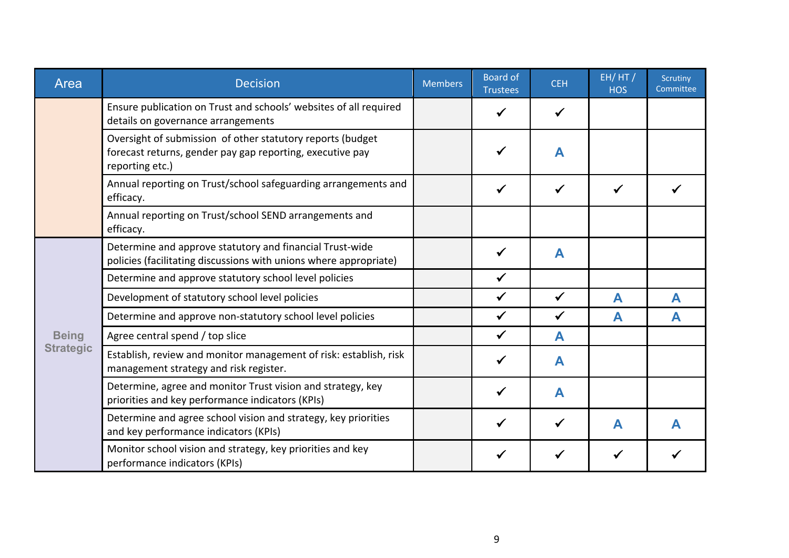| Area             | <b>Decision</b>                                                                                                                            | <b>Members</b> | <b>Board of</b><br><b>Trustees</b> | <b>CEH</b>   | EH/HT/<br><b>HOS</b> | Scrutiny<br>Committee |
|------------------|--------------------------------------------------------------------------------------------------------------------------------------------|----------------|------------------------------------|--------------|----------------------|-----------------------|
|                  | Ensure publication on Trust and schools' websites of all required<br>details on governance arrangements                                    |                |                                    | ✔            |                      |                       |
|                  | Oversight of submission of other statutory reports (budget<br>forecast returns, gender pay gap reporting, executive pay<br>reporting etc.) |                |                                    | A            |                      |                       |
|                  | Annual reporting on Trust/school safeguarding arrangements and<br>efficacy.                                                                |                |                                    | ✓            |                      |                       |
|                  | Annual reporting on Trust/school SEND arrangements and<br>efficacy.                                                                        |                |                                    |              |                      |                       |
|                  | Determine and approve statutory and financial Trust-wide<br>policies (facilitating discussions with unions where appropriate)              |                |                                    | A            |                      |                       |
|                  | Determine and approve statutory school level policies                                                                                      |                | $\checkmark$                       |              |                      |                       |
|                  | Development of statutory school level policies                                                                                             |                | $\checkmark$                       | $\checkmark$ | A                    | A                     |
|                  | Determine and approve non-statutory school level policies                                                                                  |                | $\checkmark$                       | $\checkmark$ | A                    | A                     |
| <b>Being</b>     | Agree central spend / top slice                                                                                                            |                | $\checkmark$                       | A            |                      |                       |
| <b>Strategic</b> | Establish, review and monitor management of risk: establish, risk<br>management strategy and risk register.                                |                |                                    | A            |                      |                       |
|                  | Determine, agree and monitor Trust vision and strategy, key<br>priorities and key performance indicators (KPIs)                            |                |                                    | A            |                      |                       |
|                  | Determine and agree school vision and strategy, key priorities<br>and key performance indicators (KPIs)                                    |                |                                    | ✓            | A                    | A                     |
|                  | Monitor school vision and strategy, key priorities and key<br>performance indicators (KPIs)                                                |                |                                    |              |                      |                       |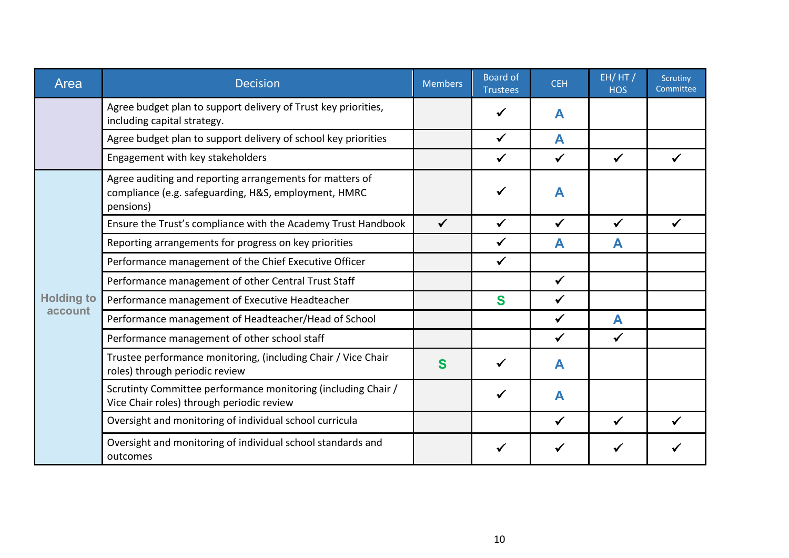| Area              | <b>Decision</b>                                                                                                               | <b>Members</b> | <b>Board of</b><br><b>Trustees</b> | <b>CEH</b>   | EH/HT/<br><b>HOS</b> | Scrutiny<br>Committee |
|-------------------|-------------------------------------------------------------------------------------------------------------------------------|----------------|------------------------------------|--------------|----------------------|-----------------------|
|                   | Agree budget plan to support delivery of Trust key priorities,<br>including capital strategy.                                 |                |                                    | A            |                      |                       |
|                   | Agree budget plan to support delivery of school key priorities                                                                |                |                                    | A            |                      |                       |
|                   | Engagement with key stakeholders                                                                                              |                |                                    | $\checkmark$ |                      |                       |
|                   | Agree auditing and reporting arrangements for matters of<br>compliance (e.g. safeguarding, H&S, employment, HMRC<br>pensions) |                |                                    | A            |                      |                       |
|                   | Ensure the Trust's compliance with the Academy Trust Handbook                                                                 |                |                                    |              |                      |                       |
|                   | Reporting arrangements for progress on key priorities                                                                         |                |                                    | А            |                      |                       |
|                   | Performance management of the Chief Executive Officer                                                                         |                | $\checkmark$                       |              |                      |                       |
|                   | Performance management of other Central Trust Staff                                                                           |                |                                    | $\checkmark$ |                      |                       |
| <b>Holding to</b> | Performance management of Executive Headteacher                                                                               |                | S                                  | ✔            |                      |                       |
| account           | Performance management of Headteacher/Head of School                                                                          |                |                                    |              | A                    |                       |
|                   | Performance management of other school staff                                                                                  |                |                                    | ✓            | $\checkmark$         |                       |
|                   | Trustee performance monitoring, (including Chair / Vice Chair<br>roles) through periodic review                               | S              |                                    | A            |                      |                       |
|                   | Scrutinty Committee performance monitoring (including Chair /<br>Vice Chair roles) through periodic review                    |                |                                    | A            |                      |                       |
|                   | Oversight and monitoring of individual school curricula                                                                       |                |                                    | ✓            |                      |                       |
|                   | Oversight and monitoring of individual school standards and<br>outcomes                                                       |                |                                    |              |                      |                       |